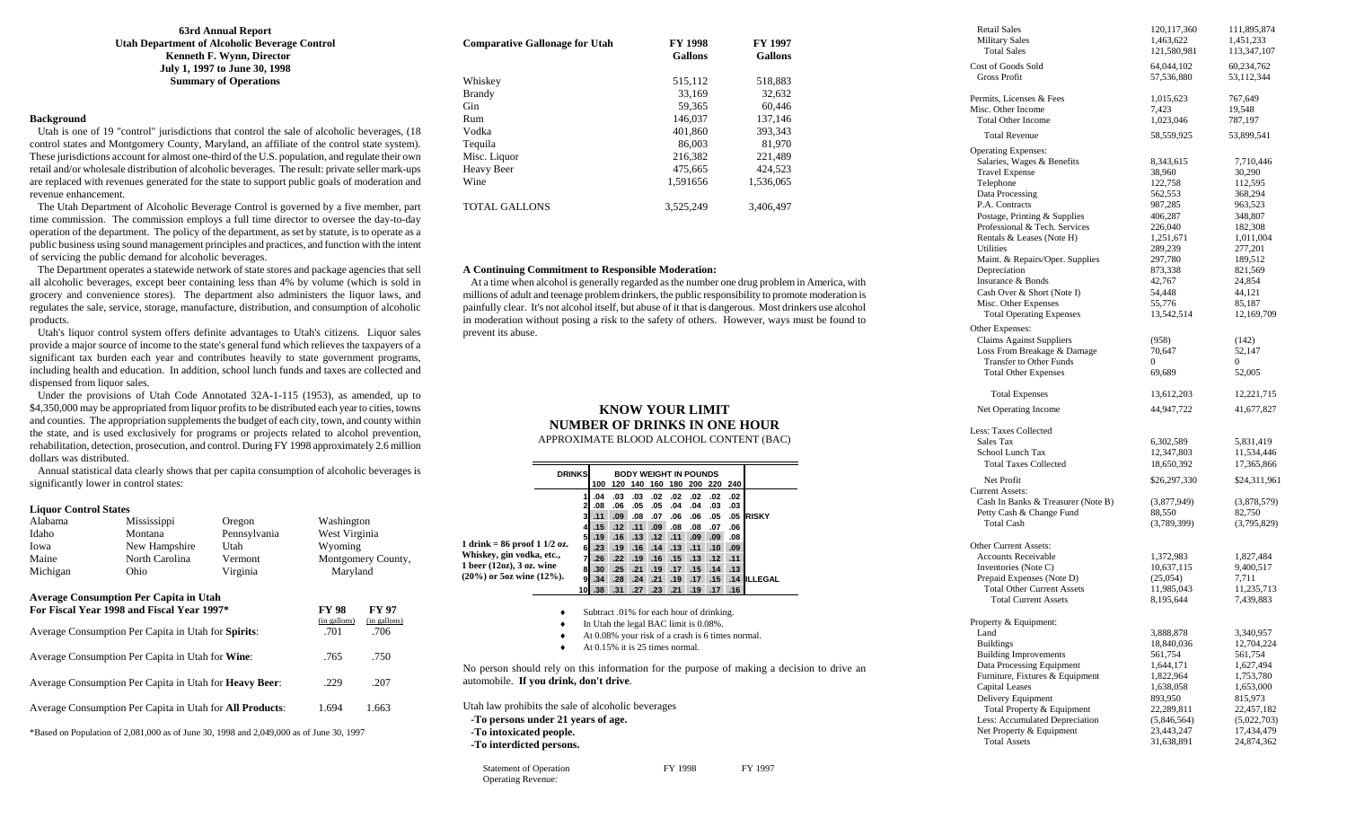**63rd Annual Report Utah Department of Alcoholic Beverage Control Kenneth F. Wynn, Director July 1, 1997 to June 30, 1998 Summary of Operations** 

## **Background**

 Utah is one of 19 "control" jurisdictions that control the sale of alcoholic beverages, (18 control states and Montgomery County, Maryland, an affiliate of the control state system). These jurisdictions account for almost one-third of the U.S. population, and regulate their own retail and/or wholesale distribution of alcoholic beverages. The result: private seller mark-ups are replaced with revenues generated for the state to support public goals of moderation and revenue enhancement.

 The Utah Department of Alcoholic Beverage Control is governed by a five member, part time commission. The commission employs a full time director to oversee the day-to-day operation of the department. The policy of the department, as set by statute, is to operate as a public business using sound management principles and practices, and function with the intent of servicing the public demand for alcoholic beverages.

 The Department operates a statewide network of state stores and package agencies that sell all alcoholic beverages, except beer containing less than 4% by volume (which is sold in grocery and convenience stores). The department also administers the liquor laws, and regulates the sale, service, storage, manufacture, distribution, and consumption of alcoholic products.

 Utah's liquor control system offers definite advantages to Utah's citizens. Liquor sales provide a major source of income to the state's general fund which relieves the taxpayers of a significant tax burden each year and contributes heavily to state government programs, including health and education. In addition, school lunch funds and taxes are collected and dispensed from liquor sales.

 Under the provisions of Utah Code Annotated 32A-1-115 (1953), as amended, up to \$4,350,000 may be appropriated from liquor profits to be distributed each year to cities, towns and counties. The appropriation supplements the budget of each city, town, and county within the state, and is used exclusively for programs or projects related to alcohol prevention, rehabilitation, detection, prosecution, and control. During FY 1998 approximately 2.6 million dollars was distributed.

 Annual statistical data clearly shows that per capita consumption of alcoholic beverages is significantly lower in control states:

#### **Liquor Control States**

| Alabama                                                                                                                                            | Mississippi                   | Oregon                               | Washington         |  |  |  |  |
|----------------------------------------------------------------------------------------------------------------------------------------------------|-------------------------------|--------------------------------------|--------------------|--|--|--|--|
| Idaho                                                                                                                                              | Montana                       | Pennsylvania                         | West Virginia      |  |  |  |  |
| Iowa                                                                                                                                               | New Hampshire                 | Utah                                 | Wyoming            |  |  |  |  |
| Maine                                                                                                                                              | North Carolina<br>Vermont     |                                      | Montgomery County, |  |  |  |  |
| Michigan                                                                                                                                           | Ohio                          | Virginia                             | Maryland           |  |  |  |  |
| <b>Average Consumption Per Capita in Utah</b><br>For Fiscal Year 1998 and Fiscal Year 1997*<br>Average Consumption Per Capita in Utah for Spirits: | FY 98<br>(in gallons)<br>.701 | <b>FY 97</b><br>(in gallons)<br>.706 |                    |  |  |  |  |
| Average Consumption Per Capita in Utah for Wine:<br>.750<br>.765                                                                                   |                               |                                      |                    |  |  |  |  |
| Average Consumption Per Capita in Utah for <b>Heavy Beer</b> :<br>.207<br>.229                                                                     |                               |                                      |                    |  |  |  |  |
| Average Consumption Per Capita in Utah for <b>All Products</b> :<br>1.694<br>1.663                                                                 |                               |                                      |                    |  |  |  |  |
| *Based on Population of 2,081,000 as of June 30, 1998 and 2,049,000 as of June 30, 1997                                                            |                               |                                      |                    |  |  |  |  |

| <b>Comparative Gallonage for Utah</b> | <b>FY 1998</b><br><b>Gallons</b> | <b>FY 1997</b><br><b>Gallons</b> |
|---------------------------------------|----------------------------------|----------------------------------|
| Whiskey                               | 515,112                          | 518,883                          |
| <b>Brandy</b>                         | 33.169                           | 32.632                           |
| <b>Gin</b>                            | 59,365                           | 60.446                           |
| Rum                                   | 146,037                          | 137.146                          |
| Vodka                                 | 401.860                          | 393.343                          |
| Tequila                               | 86,003                           | 81.970                           |
| Misc. Liquor                          | 216.382                          | 221,489                          |
| <b>Heavy Beer</b>                     | 475,665                          | 424.523                          |
| Wine                                  | 1.591656                         | 1.536.065                        |
| <b>TOTAL GALLONS</b>                  | 3.525.249                        | 3.406.497                        |

#### **A Continuing Commitment to Responsible Moderation:**

 At a time when alcohol is generally regarded as the number one drug problem in America, with millions of adult and teenage problem drinkers, the public responsibility to promote moderation is painfully clear. It's not alcohol itself, but abuse of it that is dangerous. Most drinkers use alcohol in moderation without posing a risk to the safety of others. However, ways must be found to prevent its abuse.

#### **KNOW YOUR LIMIT NUMBER OF DRINKS IN ONE HOUR** APPROXIMATE BLOOD ALCOHOL CONTENT (BAC)

|                                                                                                                                                                             | <b>DRINKS</b> |                                              |                                                                                                           |                                                             |                                                                            |                                                             |                                                      | <b>BODY WEIGHT IN POUNDS</b><br>100 120 140 160 180 200 220 240                          |                                                                              |                                                      |                              |  |
|-----------------------------------------------------------------------------------------------------------------------------------------------------------------------------|---------------|----------------------------------------------|-----------------------------------------------------------------------------------------------------------|-------------------------------------------------------------|----------------------------------------------------------------------------|-------------------------------------------------------------|------------------------------------------------------|------------------------------------------------------------------------------------------|------------------------------------------------------------------------------|------------------------------------------------------|------------------------------|--|
| 1 drink = $86$ proof 1 1/2 oz.<br>Whiskey, gin vodka, etc.,<br>1 beer $(12oz)$ , 3 oz. wine<br>$(20\%)$ or 5oz wine $(12\%)$ .                                              |               | 1<br>2<br>3<br>4<br>5<br>6<br>81<br>9<br>10I | .04<br>.08<br>.11<br>.15<br>.19<br>.23<br>.26 <sub>1</sub><br>.30 <sub>1</sub><br>.34<br>.38 <sub>0</sub> | .03<br>.06<br>.09<br>.12<br>.16<br>.22<br>.25<br>.28<br>.31 | .03<br>.05<br>.08<br>.11<br>.13<br>$.19$ $.16$<br>.19<br>.21<br>.24<br>.27 | .02<br>.05<br>.07<br>.09<br>.12<br>.14<br>.16<br>.21<br>.23 | .02<br>.04<br>.06<br>.08<br>.11<br>.13<br>.19<br>.21 | .02<br>.04<br>.06<br>.08<br>.09<br>.11<br>$.15$ $.13$<br>$.19$ $.17$ $.15$<br>.17<br>.19 | .02<br>.03<br>.05<br>.07<br>.09<br>.10 <sub>1</sub><br>.12<br>.14<br>$.17-1$ | .02<br>.03<br>.06<br>.08<br>.09<br>.11<br>.13<br>.16 | .05 RISKY<br>.15 .14 ILLEGAL |  |
| Subtract .01% for each hour of drinking.<br>In Utah the legal BAC limit is 0.08%.<br>At 0.08% your risk of a crash is 6 times normal.<br>At $0.15\%$ it is 25 times normal. |               |                                              |                                                                                                           |                                                             |                                                                            |                                                             |                                                      |                                                                                          |                                                                              |                                                      |                              |  |
| No person should rely on this information for the purpose of making a decision to drive an<br>automobile. If you drink, don't drive.                                        |               |                                              |                                                                                                           |                                                             |                                                                            |                                                             |                                                      |                                                                                          |                                                                              |                                                      |                              |  |
| Utah law prohibits the sale of alcoholic beverages<br>-To persons under 21 years of age.<br>-To intoxicated people.<br>-To interdicted persons.                             |               |                                              |                                                                                                           |                                                             |                                                                            |                                                             |                                                      |                                                                                          |                                                                              |                                                      |                              |  |
| <b>Statement of Operation</b><br><b>Operating Revenue:</b>                                                                                                                  |               |                                              |                                                                                                           |                                                             |                                                                            |                                                             | FY 1998                                              |                                                                                          |                                                                              |                                                      | FY 1997                      |  |

| <b>Retail Sales</b><br><b>Military Sales</b>  | 120, 117, 360<br>1,463,622 | 111,895,874<br>1,451,233 |
|-----------------------------------------------|----------------------------|--------------------------|
| <b>Total Sales</b>                            | 121,580,981                | 113,347,107              |
| Cost of Goods Sold<br><b>Gross Profit</b>     | 64,044,102<br>57,536,880   | 60,234,762<br>53,112,344 |
| Permits, Licenses & Fees                      | 1,015,623                  | 767,649                  |
| Misc. Other Income                            | 7,423                      | 19,548                   |
| <b>Total Other Income</b>                     | 1,023,046                  | 787,197                  |
| <b>Total Revenue</b>                          | 58,559,925                 | 53,899,541               |
| <b>Operating Expenses:</b>                    |                            |                          |
| Salaries, Wages & Benefits                    | 8,343,615                  | 7,710,446                |
| <b>Travel Expense</b>                         | 38,960                     | 30,290                   |
| Telephone                                     | 122,758                    | 112,595                  |
| Data Processing                               | 562,553                    | 368,294                  |
| P.A. Contracts                                | 987,285                    | 963,523                  |
| Postage, Printing & Supplies                  | 406,287                    | 348,807                  |
| Professional & Tech. Services                 | 226,040                    | 182,308                  |
| Rentals & Leases (Note H)                     | 1,251,671                  | 1,011,004                |
| Utilities                                     | 289,239                    | 277,201                  |
| Maint. & Repairs/Oper. Supplies               | 297,780                    | 189,512                  |
| Depreciation                                  | 873,338                    | 821,569                  |
| Insurance & Bonds                             | 42,767                     | 24,854                   |
| Cash Over & Short (Note I)                    | 54,448                     | 44,121                   |
| Misc. Other Expenses                          | 55,776                     | 85,187                   |
| <b>Total Operating Expenses</b>               | 13,542,514                 | 12,169,709               |
| Other Expenses:                               |                            |                          |
| <b>Claims Against Suppliers</b>               | (958)                      | (142)                    |
| Loss From Breakage & Damage                   | 70,647                     | 52,147                   |
| <b>Transfer to Other Funds</b>                | 0                          | 0                        |
| <b>Total Other Expenses</b>                   | 69,689                     | 52,005                   |
| <b>Total Expenses</b>                         | 13,612,203                 | 12,221,715               |
| Net Operating Income                          | 44,947,722                 | 41,677,827               |
|                                               |                            |                          |
| Less: Taxes Collected                         |                            |                          |
| Sales Tax                                     | 6,302,589                  | 5,831,419                |
| School Lunch Tax                              | 12,347,803                 | 11,534,446               |
| <b>Total Taxes Collected</b>                  | 18,650,392                 | 17,365,866               |
| Net Profit                                    | \$26,297,330               | \$24,311,961             |
| <b>Current Assets:</b>                        |                            |                          |
| Cash In Banks & Treasurer (Note B)            | (3,877,949)                | (3,878,579)              |
| Petty Cash & Change Fund<br><b>Total Cash</b> | 88,550                     | 82,750                   |
|                                               | (3,789,399)                | (3,795,829)              |
| Other Current Assets:                         |                            |                          |
| <b>Accounts Receivable</b>                    | 1,372,983                  | 1,827,484                |
| Inventories (Note C)                          | 10,637,115                 | 9,400,517                |
| Prepaid Expenses (Note D)                     | (25,054)                   | 7,711                    |
| <b>Total Other Current Assets</b>             | 11,985,043                 | 11,235,713               |
| <b>Total Current Assets</b>                   | 8,195,644                  | 7,439,883                |
| Property & Equipment:                         |                            |                          |
| Land                                          | 3,888,878                  | 3,340,957                |
| <b>Buildings</b>                              | 18,840,036                 | 12,704,224               |
| <b>Building Improvements</b>                  | 561,754                    | 561,754                  |
| Data Processing Equipment                     | 1,644,171                  | 1,627,494                |
| Furniture, Fixtures & Equipment               | 1,822,964                  | 1,753,780                |
| <b>Capital Leases</b>                         | 1,638,058                  | 1,653,000                |
| Delivery Equipment                            | 893,950                    | 815,973                  |
| Total Property & Equipment                    | 22,289,811                 | 22,457,182               |
| Less: Accumulated Depreciation                | (5,846,564)                | (5,022,703)              |
| Net Property & Equipment                      | 23,443,247                 | 17,434,479               |
| <b>Total Assets</b>                           | 31,638,891                 | 24,874,362               |